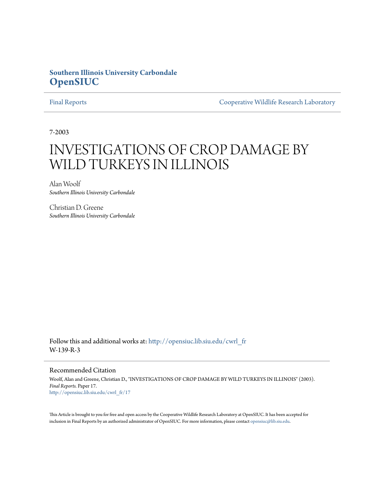# **Southern Illinois University Carbondale [OpenSIUC](http://opensiuc.lib.siu.edu?utm_source=opensiuc.lib.siu.edu%2Fcwrl_fr%2F17&utm_medium=PDF&utm_campaign=PDFCoverPages)**

[Final Reports](http://opensiuc.lib.siu.edu/cwrl_fr?utm_source=opensiuc.lib.siu.edu%2Fcwrl_fr%2F17&utm_medium=PDF&utm_campaign=PDFCoverPages) [Cooperative Wildlife Research Laboratory](http://opensiuc.lib.siu.edu/cwrl?utm_source=opensiuc.lib.siu.edu%2Fcwrl_fr%2F17&utm_medium=PDF&utm_campaign=PDFCoverPages)

7-2003

# INVESTIGATIONS OF CROP DAMAGE BY WILD TURKEYS IN ILLINOIS

Alan Woolf *Southern Illinois University Carbondale*

Christian D. Greene *Southern Illinois University Carbondale*

Follow this and additional works at: [http://opensiuc.lib.siu.edu/cwrl\\_fr](http://opensiuc.lib.siu.edu/cwrl_fr?utm_source=opensiuc.lib.siu.edu%2Fcwrl_fr%2F17&utm_medium=PDF&utm_campaign=PDFCoverPages) W-139-R-3

#### Recommended Citation

Woolf, Alan and Greene, Christian D., "INVESTIGATIONS OF CROP DAMAGE BY WILD TURKEYS IN ILLINOIS" (2003). *Final Reports.* Paper 17. [http://opensiuc.lib.siu.edu/cwrl\\_fr/17](http://opensiuc.lib.siu.edu/cwrl_fr/17?utm_source=opensiuc.lib.siu.edu%2Fcwrl_fr%2F17&utm_medium=PDF&utm_campaign=PDFCoverPages)

This Article is brought to you for free and open access by the Cooperative Wildlife Research Laboratory at OpenSIUC. It has been accepted for inclusion in Final Reports by an authorized administrator of OpenSIUC. For more information, please contact [opensiuc@lib.siu.edu](mailto:opensiuc@lib.siu.edu).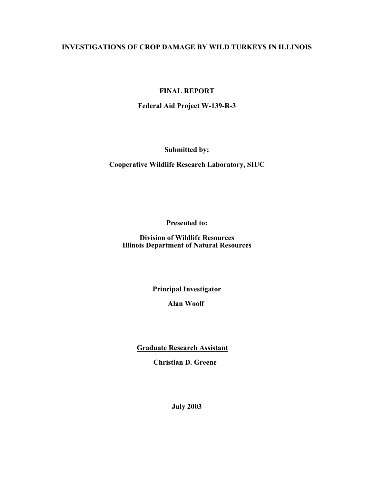# **INVESTIGATIONS OF CROP DAMAGE BY WILD TURKEYS IN ILLINOIS**

# **FINAL REPORT**

# **Federal Aid Project W-139-R-3**

**Submitted by:**

**Cooperative Wildlife Research Laboratory, SIUC**

**Presented to:**

**Division of Wildlife Resources Illinois Department of Natural Resources**

**Principal Investigator**

**Alan Woolf**

**Graduate Research Assistant** 

**Christian D. Greene** 

**July 2003**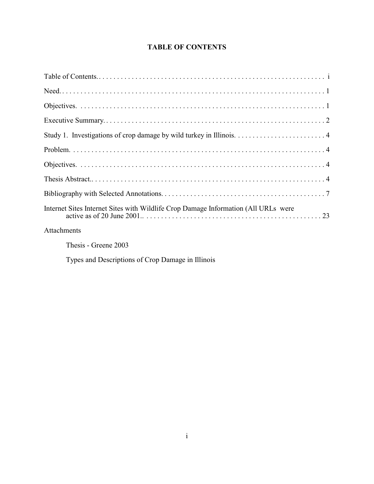# **TABLE OF CONTENTS**

| Internet Sites Internet Sites with Wildlife Crop Damage Information (All URLs were |
|------------------------------------------------------------------------------------|
| Attachments                                                                        |
| Thesis - Greene 2003                                                               |

Types and Descriptions of Crop Damage in Illinois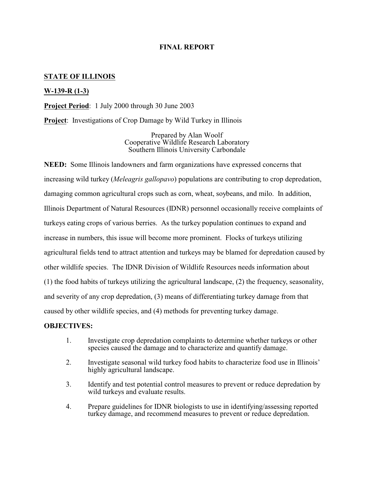## **FINAL REPORT**

### **STATE OF ILLINOIS**

### **W-139-R (1-3)**

**Project Period**: 1 July 2000 through 30 June 2003

**Project**: Investigations of Crop Damage by Wild Turkey in Illinois

Prepared by Alan Woolf Cooperative Wildlife Research Laboratory Southern Illinois University Carbondale

**NEED:** Some Illinois landowners and farm organizations have expressed concerns that increasing wild turkey (*Meleagris gallopavo*) populations are contributing to crop depredation, damaging common agricultural crops such as corn, wheat, soybeans, and milo. In addition, Illinois Department of Natural Resources (IDNR) personnel occasionally receive complaints of turkeys eating crops of various berries. As the turkey population continues to expand and increase in numbers, this issue will become more prominent. Flocks of turkeys utilizing agricultural fields tend to attract attention and turkeys may be blamed for depredation caused by other wildlife species. The IDNR Division of Wildlife Resources needs information about (1) the food habits of turkeys utilizing the agricultural landscape, (2) the frequency, seasonality, and severity of any crop depredation, (3) means of differentiating turkey damage from that caused by other wildlife species, and (4) methods for preventing turkey damage.

#### **OBJECTIVES:**

- 1. Investigate crop depredation complaints to determine whether turkeys or other species caused the damage and to characterize and quantify damage.
- 2. Investigate seasonal wild turkey food habits to characterize food use in Illinois' highly agricultural landscape.
- 3. Identify and test potential control measures to prevent or reduce depredation by wild turkeys and evaluate results.
- 4. Prepare guidelines for IDNR biologists to use in identifying/assessing reported turkey damage, and recommend measures to prevent or reduce depredation.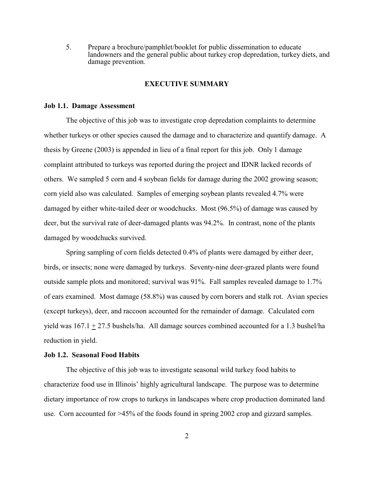5. Prepare a brochure/pamphlet/booklet for public dissemination to educate landowners and the general public about turkey crop depredation, turkey diets, and damage prevention.

#### **EXECUTIVE SUMMARY**

#### **Job 1.1. Damage Assessment**

The objective of this job was to investigate crop depredation complaints to determine whether turkeys or other species caused the damage and to characterize and quantify damage. A thesis by Greene (2003) is appended in lieu of a final report for this job. Only 1 damage complaint attributed to turkeys was reported during the project and IDNR lacked records of others. We sampled 5 corn and 4 soybean fields for damage during the 2002 growing season; corn yield also was calculated. Samples of emerging soybean plants revealed 4.7% were damaged by either white-tailed deer or woodchucks. Most (96.5%) of damage was caused by deer, but the survival rate of deer-damaged plants was 94.2%. In contrast, none of the plants damaged by woodchucks survived.

Spring sampling of corn fields detected 0.4% of plants were damaged by either deer, birds, or insects; none were damaged by turkeys. Seventy-nine deer-grazed plants were found outside sample plots and monitored; survival was 91%. Fall samples revealed damage to 1.7% of ears examined. Most damage (58.8%) was caused by corn borers and stalk rot. Avian species (except turkeys), deer, and raccoon accounted for the remainder of damage. Calculated corn yield was 167.1 + 27.5 bushels/ha. All damage sources combined accounted for a 1.3 bushel/ha reduction in yield.

#### **Job 1.2. Seasonal Food Habits**

The objective of this job was to investigate seasonal wild turkey food habits to characterize food use in Illinois' highly agricultural landscape. The purpose was to determine dietary importance of row crops to turkeys in landscapes where crop production dominated land use. Corn accounted for >45% of the foods found in spring 2002 crop and gizzard samples.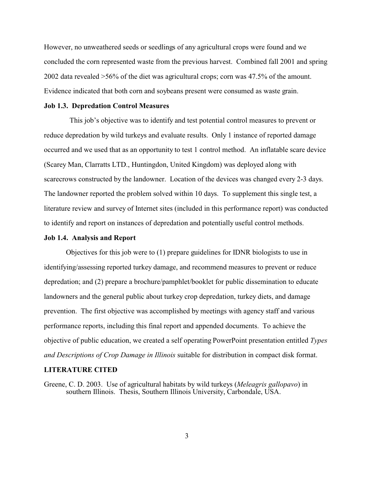However, no unweathered seeds or seedlings of any agricultural crops were found and we concluded the corn represented waste from the previous harvest. Combined fall 2001 and spring 2002 data revealed >56% of the diet was agricultural crops; corn was 47.5% of the amount. Evidence indicated that both corn and soybeans present were consumed as waste grain.

#### **Job 1.3. Depredation Control Measures**

 This job's objective was to identify and test potential control measures to prevent or reduce depredation by wild turkeys and evaluate results. Only 1 instance of reported damage occurred and we used that as an opportunity to test 1 control method. An inflatable scare device (Scarey Man, Clarratts LTD., Huntingdon, United Kingdom) was deployed along with scarecrows constructed by the landowner. Location of the devices was changed every 2-3 days. The landowner reported the problem solved within 10 days. To supplement this single test, a literature review and survey of Internet sites (included in this performance report) was conducted to identify and report on instances of depredation and potentially useful control methods.

#### **Job 1.4. Analysis and Report**

Objectives for this job were to (1) prepare guidelines for IDNR biologists to use in identifying/assessing reported turkey damage, and recommend measures to prevent or reduce depredation; and (2) prepare a brochure/pamphlet/booklet for public dissemination to educate landowners and the general public about turkey crop depredation, turkey diets, and damage prevention. The first objective was accomplished by meetings with agency staff and various performance reports, including this final report and appended documents. To achieve the objective of public education, we created a self operating PowerPoint presentation entitled *Types and Descriptions of Crop Damage in Illinois* suitable for distribution in compact disk format.

#### **LITERATURE CITED**

Greene, C. D. 2003. Use of agricultural habitats by wild turkeys (*Meleagris gallopavo*) in southern Illinois. Thesis, Southern Illinois University, Carbondale, USA.

3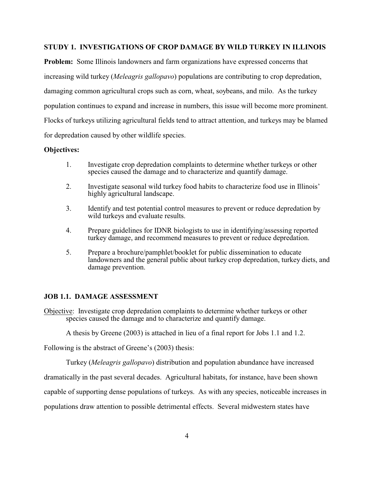#### **STUDY 1. INVESTIGATIONS OF CROP DAMAGE BY WILD TURKEY IN ILLINOIS**

**Problem:** Some Illinois landowners and farm organizations have expressed concerns that increasing wild turkey (*Meleagris gallopavo*) populations are contributing to crop depredation, damaging common agricultural crops such as corn, wheat, soybeans, and milo. As the turkey population continues to expand and increase in numbers, this issue will become more prominent. Flocks of turkeys utilizing agricultural fields tend to attract attention, and turkeys may be blamed for depredation caused by other wildlife species.

#### **Objectives:**

- 1. Investigate crop depredation complaints to determine whether turkeys or other species caused the damage and to characterize and quantify damage.
- 2. Investigate seasonal wild turkey food habits to characterize food use in Illinois' highly agricultural landscape.
- 3. Identify and test potential control measures to prevent or reduce depredation by wild turkeys and evaluate results.
- 4. Prepare guidelines for IDNR biologists to use in identifying/assessing reported turkey damage, and recommend measures to prevent or reduce depredation.
- 5. Prepare a brochure/pamphlet/booklet for public dissemination to educate landowners and the general public about turkey crop depredation, turkey diets, and damage prevention.

#### **JOB 1.1. DAMAGE ASSESSMENT**

Objective: Investigate crop depredation complaints to determine whether turkeys or other species caused the damage and to characterize and quantify damage.

A thesis by Greene (2003) is attached in lieu of a final report for Jobs 1.1 and 1.2.

Following is the abstract of Greene's (2003) thesis:

Turkey (*Meleagris gallopavo*) distribution and population abundance have increased

dramatically in the past several decades. Agricultural habitats, for instance, have been shown

capable of supporting dense populations of turkeys. As with any species, noticeable increases in

populations draw attention to possible detrimental effects. Several midwestern states have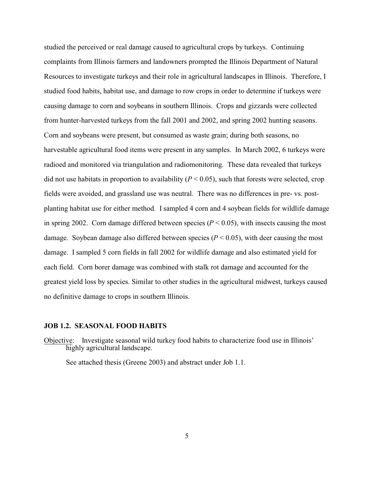studied the perceived or real damage caused to agricultural crops by turkeys. Continuing complaints from Illinois farmers and landowners prompted the Illinois Department of Natural Resources to investigate turkeys and their role in agricultural landscapes in Illinois. Therefore, I studied food habits, habitat use, and damage to row crops in order to determine if turkeys were causing damage to corn and soybeans in southern Illinois. Crops and gizzards were collected from hunter-harvested turkeys from the fall 2001 and 2002, and spring 2002 hunting seasons. Corn and soybeans were present, but consumed as waste grain; during both seasons, no harvestable agricultural food items were present in any samples. In March 2002, 6 turkeys were radioed and monitored via triangulation and radiomonitoring. These data revealed that turkeys did not use habitats in proportion to availability  $(P < 0.05)$ , such that forests were selected, crop fields were avoided, and grassland use was neutral. There was no differences in pre- vs. postplanting habitat use for either method. I sampled 4 corn and 4 soybean fields for wildlife damage in spring 2002. Corn damage differed between species  $(P < 0.05)$ , with insects causing the most damage. Soybean damage also differed between species  $(P < 0.05)$ , with deer causing the most damage. I sampled 5 corn fields in fall 2002 for wildlife damage and also estimated yield for each field. Corn borer damage was combined with stalk rot damage and accounted for the greatest yield loss by species. Similar to other studies in the agricultural midwest, turkeys caused no definitive damage to crops in southern Illinois.

#### **JOB 1.2. SEASONAL FOOD HABITS**

Objective: Investigate seasonal wild turkey food habits to characterize food use in Illinois' highly agricultural landscape.

See attached thesis (Greene 2003) and abstract under Job 1.1.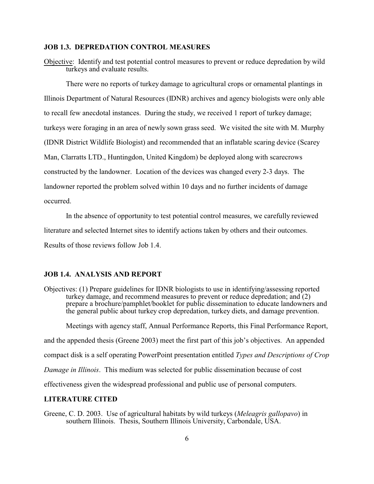#### **JOB 1.3. DEPREDATION CONTROL MEASURES**

Objective: Identify and test potential control measures to prevent or reduce depredation by wild turkeys and evaluate results.

There were no reports of turkey damage to agricultural crops or ornamental plantings in Illinois Department of Natural Resources (IDNR) archives and agency biologists were only able to recall few anecdotal instances. During the study, we received 1 report of turkey damage; turkeys were foraging in an area of newly sown grass seed. We visited the site with M. Murphy (IDNR District Wildlife Biologist) and recommended that an inflatable scaring device (Scarey Man, Clarratts LTD., Huntingdon, United Kingdom) be deployed along with scarecrows constructed by the landowner. Location of the devices was changed every 2-3 days. The landowner reported the problem solved within 10 days and no further incidents of damage occurred.

In the absence of opportunity to test potential control measures, we carefully reviewed literature and selected Internet sites to identify actions taken by others and their outcomes. Results of those reviews follow Job 1.4.

#### **JOB 1.4. ANALYSIS AND REPORT**

Objectives: (1) Prepare guidelines for IDNR biologists to use in identifying/assessing reported turkey damage, and recommend measures to prevent or reduce depredation; and (2) prepare a brochure/pamphlet/booklet for public dissemination to educate landowners and the general public about turkey crop depredation, turkey diets, and damage prevention.

Meetings with agency staff, Annual Performance Reports, this Final Performance Report, and the appended thesis (Greene 2003) meet the first part of this job's objectives. An appended compact disk is a self operating PowerPoint presentation entitled *Types and Descriptions of Crop Damage in Illinois*. This medium was selected for public dissemination because of cost effectiveness given the widespread professional and public use of personal computers.

#### **LITERATURE CITED**

Greene, C. D. 2003. Use of agricultural habitats by wild turkeys (*Meleagris gallopavo*) in southern Illinois. Thesis, Southern Illinois University, Carbondale, USA.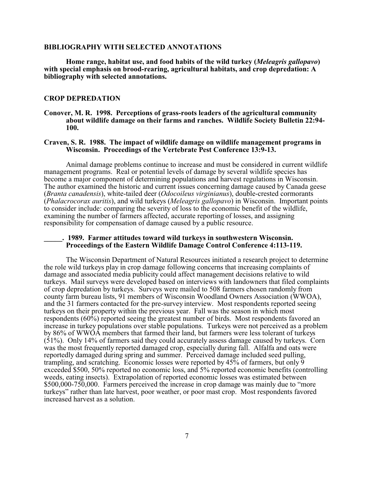#### **BIBLIOGRAPHY WITH SELECTED ANNOTATIONS**

**Home range, habitat use, and food habits of the wild turkey (***Meleagris gallopavo***) with special emphasis on brood-rearing, agricultural habitats, and crop depredation: A bibliography with selected annotations.**

#### **CROP DEPREDATION**

**Conover, M. R. 1998. Perceptions of grass-roots leaders of the agricultural community about wildlife damage on their farms and ranches. Wildlife Society Bulletin 22:94- 100.**

#### **Craven, S. R. 1988. The impact of wildlife damage on wildlife management programs in Wisconsin. Proceedings of the Vertebrate Pest Conference 13:9-13.**

Animal damage problems continue to increase and must be considered in current wildlife management programs. Real or potential levels of damage by several wildlife species has become a major component of determining populations and harvest regulations in Wisconsin. The author examined the historic and current issues concerning damage caused by Canada geese (*Branta canadensis*), white-tailed deer (*Odocoileus virginianus*), double-crested cormorants (*Phalacrocorax auritis*), and wild turkeys (*Meleagris gallopavo*) in Wisconsin. Important points to consider include: comparing the severity of loss to the economic benefit of the wildlife, examining the number of farmers affected, accurate reporting of losses, and assigning responsibility for compensation of damage caused by a public resource.

#### **\_\_\_\_\_. 1989. Farmer attitudes toward wild turkeys in southwestern Wisconsin. Proceedings of the Eastern Wildlife Damage Control Conference 4:113-119.**

The Wisconsin Department of Natural Resources initiated a research project to determine the role wild turkeys play in crop damage following concerns that increasing complaints of damage and associated media publicity could affect management decisions relative to wild turkeys. Mail surveys were developed based on interviews with landowners that filed complaints of crop depredation by turkeys. Surveys were mailed to 508 farmers chosen randomly from county farm bureau lists, 91 members of Wisconsin Woodland Owners Association (WWOA), and the 31 farmers contacted for the pre-survey interview. Most respondents reported seeing turkeys on their property within the previous year. Fall was the season in which most respondents (60%) reported seeing the greatest number of birds. Most respondents favored an increase in turkey populations over stable populations. Turkeys were not perceived as a problem by 86% of WWOA members that farmed their land, but farmers were less tolerant of turkeys (51%). Only 14% of farmers said they could accurately assess damage caused by turkeys. Corn was the most frequently reported damaged crop, especially during fall. Alfalfa and oats were reportedly damaged during spring and summer. Perceived damage included seed pulling, trampling, and scratching. Economic losses were reported by 45% of farmers, but only 9 exceeded \$500, 50% reported no economic loss, and 5% reported economic benefits (controlling weeds, eating insects). Extrapolation of reported economic losses was estimated between \$500,000-750,000. Farmers perceived the increase in crop damage was mainly due to "more turkeys" rather than late harvest, poor weather, or poor mast crop. Most respondents favored increased harvest as a solution.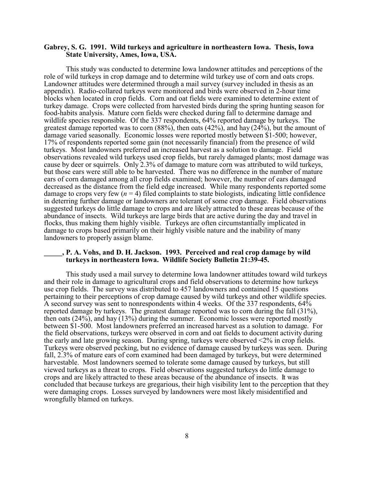#### **Gabrey, S. G. 1991. Wild turkeys and agriculture in northeastern Iowa. Thesis, Iowa State University, Ames, Iowa, USA.**

This study was conducted to determine Iowa landowner attitudes and perceptions of the role of wild turkeys in crop damage and to determine wild turkey use of corn and oats crops. Landowner attitudes were determined through a mail survey (survey included in thesis as an appendix). Radio-collared turkeys were monitored and birds were observed in 2-hour time blocks when located in crop fields. Corn and oat fields were examined to determine extent of turkey damage. Crops were collected from harvested birds during the spring hunting season for food-habits analysis. Mature corn fields were checked during fall to determine damage and wildlife species responsible. Of the 337 respondents, 64% reported damage by turkeys. The greatest damage reported was to corn  $(88\%)$ , then oats  $(42\%)$ , and hay  $(24\%)$ , but the amount of damage varied seasonally. Economic losses were reported mostly between \$1-500; however, 17% of respondents reported some gain (not necessarily financial) from the presence of wild turkeys. Most landowners preferred an increased harvest as a solution to damage. Field observations revealed wild turkeys used crop fields, but rarely damaged plants; most damage was cause by deer or squirrels. Only 2.3% of damage to mature corn was attributed to wild turkeys, but those ears were still able to be harvested. There was no difference in the number of mature ears of corn damaged among all crop fields examined; however, the number of ears damaged decreased as the distance from the field edge increased. While many respondents reported some damage to crops very few  $(n = 4)$  filed complaints to state biologists, indicating little confidence in deterring further damage or landowners are tolerant of some crop damage. Field observations suggested turkeys do little damage to crops and are likely attracted to these areas because of the abundance of insects. Wild turkeys are large birds that are active during the day and travel in flocks, thus making them highly visible. Turkeys are often circumstantially implicated in damage to crops based primarily on their highly visible nature and the inability of many landowners to properly assign blame.

#### **\_\_\_\_\_, P. A. Vohs, and D. H. Jackson. 1993. Perceived and real crop damage by wild turkeys in northeastern Iowa. Wildlife Society Bulletin 21:39-45.**

This study used a mail survey to determine Iowa landowner attitudes toward wild turkeys and their role in damage to agricultural crops and field observations to determine how turkeys use crop fields. The survey was distributed to 457 landowners and contained 15 questions pertaining to their perceptions of crop damage caused by wild turkeys and other wildlife species. A second survey was sent to nonrespondents within 4 weeks. Of the 337 respondents, 64% reported damage by turkeys. The greatest damage reported was to corn during the fall (31%), then oats (24%), and hay (13%) during the summer. Economic losses were reported mostly between \$1-500. Most landowners preferred an increased harvest as a solution to damage. For the field observations, turkeys were observed in corn and oat fields to document activity during the early and late growing season. During spring, turkeys were observed <2% in crop fields. Turkeys were observed pecking, but no evidence of damage caused by turkeys was seen. During fall, 2.3% of mature ears of corn examined had been damaged by turkeys, but were determined harvestable. Most landowners seemed to tolerate some damage caused by turkeys, but still viewed turkeys as a threat to crops. Field observations suggested turkeys do little damage to crops and are likely attracted to these areas because of the abundance of insects. It was concluded that because turkeys are gregarious, their high visibility lent to the perception that they were damaging crops. Losses surveyed by landowners were most likely misidentified and wrongfully blamed on turkeys.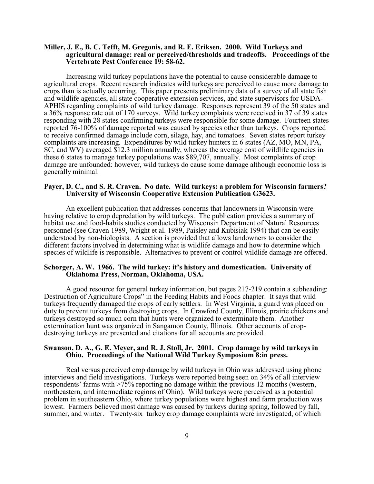#### **Miller, J. E., B. C. Tefft, M. Gregonis, and R. E. Eriksen. 2000. Wild Turkeys and agricultural damage: real or perceived/thresholds and tradeoffs. Proceedings of the Vertebrate Pest Conference 19: 58-62.**

Increasing wild turkey populations have the potential to cause considerable damage to agricultural crops. Recent research indicates wild turkeys are perceived to cause more damage to crops than is actually occurring. This paper presents preliminary data of a survey of all state fish and wildlife agencies, all state cooperative extension services, and state supervisors for USDA-APHIS regarding complaints of wild turkey damage. Responses represent 39 of the 50 states and a 36% response rate out of 170 surveys. Wild turkey complaints were received in 37 of 39 states responding with 28 states confirming turkeys were responsible for some damage. Fourteen states reported 76-100% of damage reported was caused by species other than turkeys. Crops reported to receive confirmed damage include corn, silage, hay, and tomatoes. Seven states report turkey complaints are increasing. Expenditures by wild turkey hunters in 6 states (AZ, MO, MN, PA, SC, and WV) averaged \$12.3 million annually, whereas the average cost of wildlife agencies in these 6 states to manage turkey populations was \$89,707, annually. Most complaints of crop damage are unfounded: however, wild turkeys do cause some damage although economic loss is generally minimal.

#### **Payer, D. C., and S. R. Craven. No date. Wild turkeys: a problem for Wisconsin farmers? University of Wisconsin Cooperative Extension Publication G3623.**

An excellent publication that addresses concerns that landowners in Wisconsin were having relative to crop depredation by wild turkeys. The publication provides a summary of habitat use and food-habits studies conducted by Wisconsin Department of Natural Resources personnel (see Craven 1989, Wright et al. 1989, Paisley and Kubisiak 1994) that can be easily understood by non-biologists. A section is provided that allows landowners to consider the different factors involved in determining what is wildlife damage and how to determine which species of wildlife is responsible. Alternatives to prevent or control wildlife damage are offered.

#### **Schorger, A. W. 1966. The wild turkey: it's history and domestication. University of Oklahoma Press, Norman, Oklahoma, USA.**

A good resource for general turkey information, but pages 217-219 contain a subheading: Destruction of Agriculture Crops" in the Feeding Habits and Foods chapter. It says that wild turkeys frequently damaged the crops of early settlers. In West Virginia, a guard was placed on duty to prevent turkeys from destroying crops. In Crawford County, Illinois, prairie chickens and turkeys destroyed so much corn that hunts were organized to exterminate them. Another extermination hunt was organized in Sangamon County, Illinois. Other accounts of cropdestroying turkeys are presented and citations for all accounts are provided.

#### **Swanson, D. A., G. E. Meyer, and R. J. Stoll, Jr. 2001. Crop damage by wild turkeys in Ohio. Proceedings of the National Wild Turkey Symposium 8:in press.**

Real versus perceived crop damage by wild turkeys in Ohio was addressed using phone interviews and field investigations. Turkeys were reported being seen on 34% of all interview respondents' farms with >75% reporting no damage within the previous 12 months (western, northeastern, and intermediate regions of Ohio). Wild turkeys were perceived as a potential problem in southeastern Ohio, where turkey populations were highest and farm production was lowest. Farmers believed most damage was caused by turkeys during spring, followed by fall, summer, and winter. Twenty-six turkey crop damage complaints were investigated, of which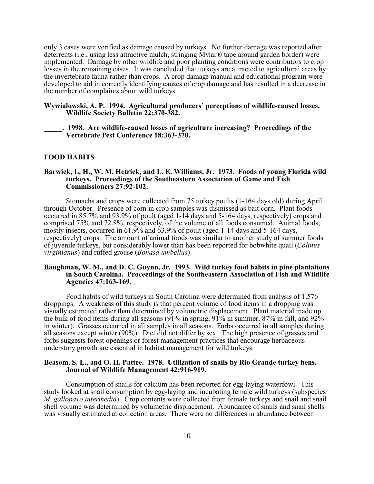only 3 cases were verified as damage caused by turkeys. No further damage was reported after deterrents (i.e., using less attractive mulch, stringing Mylar® tape around garden border) were implemented. Damage by other wildlife and poor planting conditions were contributors to crop losses in the remaining cases. It was concluded that turkeys are attracted to agricultural areas by the invertebrate fauna rather than crops. A crop damage manual and educational program were developed to aid in correctly identifying causes of crop damage and has resulted in a decrease in the number of complaints about wild turkeys.

#### **Wywialowski, A. P. 1994. Agricultural producers' perceptions of wildlife-caused losses. Wildlife Society Bulletin 22:370-382.**

**\_\_\_\_\_. 1998. Are wildlife-caused losses of agriculture increasing? Proceedings of the Vertebrate Pest Conference 18:363-370.**

#### **FOOD HABITS**

#### **Barwick, L. H., W. M. Hetrick, and L. E. Williams, Jr. 1973. Foods of young Florida wild turkeys. Proceedings of the Southeastern Association of Game and Fish Commissioners 27:92-102.**

Stomachs and crops were collected from 75 turkey poults (1-164 days old) during April through October. Presence of corn in crop samples was dismissed as bait corn. Plant foods occurred in 85.7% and 93.9% of poult (aged 1-14 days and 5-164 days, respectively) crops and comprised 75% and 72.8%, respectively, of the volume of all foods consumed. Animal foods, mostly insects, occurred in 61.9% and 63.9% of poult (aged 1-14 days and 5-164 days, respectively) crops. The amount of animal foods was similar to another study of summer foods of juvenile turkeys, but considerably lower than has been reported for bobwhite quail (*Colinus virginianus*) and ruffed grouse (*Bonasa umbellus*).

#### **Baughman, W. M., and D. C. Guynn, Jr. 1993. Wild turkey food habits in pine plantations in South Carolina. Proceedings of the Southeastern Association of Fish and Wildlife Agencies 47:163-169.**

Food habits of wild turkeys in South Carolina were determined from analysis of 1,576 droppings. A weakness of this study is that percent volume of food items in a dropping was visually estimated rather than determined by volumetric displacement. Plant material made up the bulk of food items during all seasons (91% in spring, 91% in summer, 87% in fall, and 92% in winter). Grasses occurred in all samples in all seasons. Forbs occurred in all samples during all seasons except winter (90%). Diet did not differ by sex. The high presence of grasses and forbs suggests forest openings or forest management practices that encourage herbaceous understory growth are essential in habitat management for wild turkeys.

#### **Beasom, S. L., and O. H. Pattee. 1978. Utilization of snails by Rio Grande turkey hens. Journal of Wildlife Management 42:916-919.**

Consumption of snails for calcium has been reported for egg-laying waterfowl. This study looked at snail consumption by egg-laying and incubating female wild turkeys (subspecies *M. gallopavo intermedia*). Crop contents were collected from female turkeys and snail and snail shell volume was determined by volumetric displacement. Abundance of snails and snail shells was visually estimated at collection areas. There were no differences in abundance between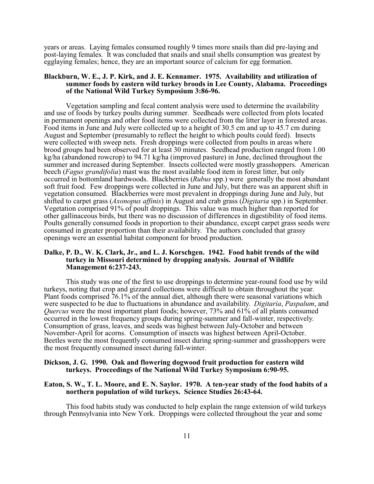years or areas. Laying females consumed roughly 9 times more snails than did pre-laying and post-laying females. It was concluded that snails and snail shells consumption was greatest by egglaying females; hence, they are an important source of calcium for egg formation.

#### **Blackburn, W. E., J. P. Kirk, and J. E. Kennamer. 1975. Availability and utilization of summer foods by eastern wild turkey broods in Lee County, Alabama. Proceedings of the National Wild Turkey Symposium 3:86-96.**

Vegetation sampling and fecal content analysis were used to determine the availability and use of foods by turkey poults during summer. Seedheads were collected from plots located in permanent openings and other food items were collected from the litter layer in forested areas. Food items in June and July were collected up to a height of 30.5 cm and up to 45.7 cm during August and September (presumably to reflect the height to which poults could feed). Insects were collected with sweep nets. Fresh droppings were collected from poults in areas where brood groups had been observed for at least 30 minutes. Seedhead production ranged from 1.00 kg/ha (abandoned rowcrop) to 94.71 kg/ha (improved pasture) in June, declined throughout the summer and increased during September. Insects collected were mostly grasshoppers. American beech (*Fagus grandifolia*) mast was the most available food item in forest litter, but only occurred in bottomland hardwoods. Blackberries (*Rubus* spp.) were generally the most abundant soft fruit food. Few droppings were collected in June and July, but there was an apparent shift in vegetation consumed. Blackberries were most prevalent in droppings during June and July, but shifted to carpet grass (*Axonopus affinis*) in August and crab grass (*Digitaria* spp.) in September. Vegetation comprised 91% of poult droppings. This value was much higher than reported for other gallinaceous birds, but there was no discussion of differences in digestibility of food items. Poults generally consumed foods in proportion to their abundance, except carpet grass seeds were consumed in greater proportion than their availability. The authors concluded that grassy openings were an essential habitat component for brood production.

#### **Dalke, P. D., W. K. Clark, Jr., and L. J. Korschgen. 1942. Food habit trends of the wild turkey in Missouri determined by dropping analysis. Journal of Wildlife Management 6:237-243.**

This study was one of the first to use droppings to determine year-round food use by wild turkeys, noting that crop and gizzard collections were difficult to obtain throughout the year. Plant foods comprised 76.1% of the annual diet, although there were seasonal variations which were suspected to be due to fluctuations in abundance and availability. *Digitaria*, *Paspalum*, and *Quercus* were the most important plant foods; however, 73% and 61% of all plants consumed occurred in the lowest frequency groups during spring-summer and fall-winter, respectively. Consumption of grass, leaves, and seeds was highest between July-October and between November-April for acorns. Consumption of insects was highest between April-October. Beetles were the most frequently consumed insect during spring-summer and grasshoppers were the most frequently consumed insect during fall-winter.

#### **Dickson, J. G. 1990. Oak and flowering dogwood fruit production for eastern wild turkeys. Proceedings of the National Wild Turkey Symposium 6:90-95.**

#### **Eaton, S. W., T. L. Moore, and E. N. Saylor. 1970. A ten-year study of the food habits of a northern population of wild turkeys. Science Studies 26:43-64.**

This food habits study was conducted to help explain the range extension of wild turkeys through Pennsylvania into New York. Droppings were collected throughout the year and some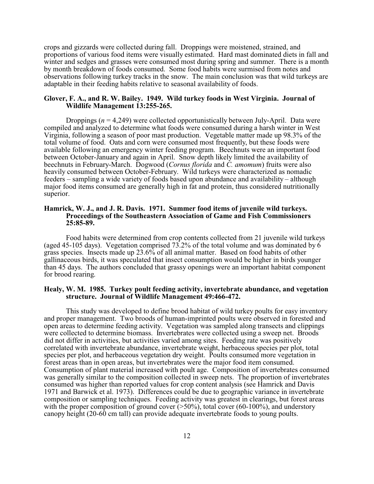crops and gizzards were collected during fall. Droppings were moistened, strained, and proportions of various food items were visually estimated. Hard mast dominated diets in fall and winter and sedges and grasses were consumed most during spring and summer. There is a month by month breakdown of foods consumed. Some food habits were surmised from notes and observations following turkey tracks in the snow. The main conclusion was that wild turkeys are adaptable in their feeding habits relative to seasonal availability of foods.

#### **Glover, F. A., and R. W. Bailey. 1949. Wild turkey foods in West Virginia. Journal of Wildlife Management 13:255-265.**

Droppings (*n* = 4,249) were collected opportunistically between July-April. Data were compiled and analyzed to determine what foods were consumed during a harsh winter in West Virginia, following a season of poor mast production. Vegetable matter made up 98.3% of the total volume of food. Oats and corn were consumed most frequently, but these foods were available following an emergency winter feeding program. Beechnuts were an important food between October-January and again in April. Snow depth likely limited the availability of beechnuts in February-March. Dogwood (*Cornus florida* and *C. amomum*) fruits were also heavily consumed between October-February. Wild turkeys were characterized as nomadic feeders – sampling a wide variety of foods based upon abundance and availability – although major food items consumed are generally high in fat and protein, thus considered nutritionally superior.

#### **Hamrick, W. J., and J. R. Davis. 1971. Summer food items of juvenile wild turkeys. Proceedings of the Southeastern Association of Game and Fish Commissioners 25:85-89.**

Food habits were determined from crop contents collected from 21 juvenile wild turkeys (aged 45-105 days). Vegetation comprised 73.2% of the total volume and was dominated by  $\vec{6}$ grass species. Insects made up 23.6% of all animal matter. Based on food habits of other gallinaceous birds, it was speculated that insect consumption would be higher in birds younger than 45 days. The authors concluded that grassy openings were an important habitat component for brood rearing.

#### **Healy, W. M. 1985. Turkey poult feeding activity, invertebrate abundance, and vegetation structure. Journal of Wildlife Management 49:466-472.**

This study was developed to define brood habitat of wild turkey poults for easy inventory and proper management. Two broods of human-imprinted poults were observed in forested and open areas to determine feeding activity. Vegetation was sampled along transects and clippings were collected to determine biomass. Invertebrates were collected using a sweep net. Broods did not differ in activities, but activities varied among sites. Feeding rate was positively correlated with invertebrate abundance, invertebrate weight, herbaceous species per plot, total species per plot, and herbaceous vegetation dry weight. Poults consumed more vegetation in forest areas than in open areas, but invertebrates were the major food item consumed. Consumption of plant material increased with poult age. Composition of invertebrates consumed was generally similar to the composition collected in sweep nets. The proportion of invertebrates consumed was higher than reported values for crop content analysis (see Hamrick and Davis 1971 and Barwick et al. 1973). Differences could be due to geographic variance in invertebrate composition or sampling techniques. Feeding activity was greatest in clearings, but forest areas with the proper composition of ground cover  $(>50\%)$ , total cover  $(60-100\%)$ , and understory canopy height (20-60 cm tall) can provide adequate invertebrate foods to young poults.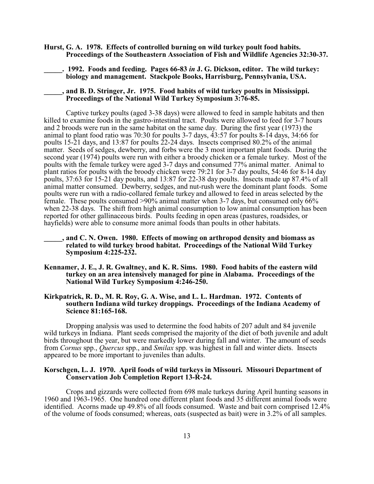- **Hurst, G. A. 1978. Effects of controlled burning on wild turkey poult food habits. Proceedings of the Southeastern Association of Fish and Wildlife Agencies 32:30-37.**
	- **\_\_\_\_\_. 1992. Foods and feeding. Pages 66-83** *in* **J. G. Dickson, editor. The wild turkey: biology and management. Stackpole Books, Harrisburg, Pennsylvania, USA.**
	- **\_\_\_\_\_, and B. D. Stringer, Jr. 1975. Food habits of wild turkey poults in Mississippi. Proceedings of the National Wild Turkey Symposium 3:76-85.**

Captive turkey poults (aged 3-38 days) were allowed to feed in sample habitats and then killed to examine foods in the gastro-intestinal tract. Poults were allowed to feed for 3-7 hours and 2 broods were run in the same habitat on the same day. During the first year (1973) the animal to plant food ratio was 70:30 for poults 3-7 days, 43:57 for poults 8-14 days, 34:66 for poults 15-21 days, and 13:87 for poults 22-24 days. Insects comprised 80.2% of the animal matter. Seeds of sedges, dewberry, and forbs were the 3 most important plant foods. During the second year (1974) poults were run with either a broody chicken or a female turkey. Most of the poults with the female turkey were aged 3-7 days and consumed 77% animal matter. Animal to plant ratios for poults with the broody chicken were 79:21 for 3-7 day poults, 54:46 for 8-14 day poults, 37:63 for 15-21 day poults, and 13:87 for 22-38 day poults. Insects made up 87.4% of all animal matter consumed. Dewberry, sedges, and nut-rush were the dominant plant foods. Some poults were run with a radio-collared female turkey and allowed to feed in areas selected by the female. These poults consumed >90% animal matter when 3-7 days, but consumed only 66% when 22-38 days. The shift from high animal consumption to low animal consumption has been reported for other gallinaceous birds. Poults feeding in open areas (pastures, roadsides, or hayfields) were able to consume more animal foods than poults in other habitats.

#### **\_\_\_\_\_, and C. N. Owen. 1980. Effects of mowing on arthropod density and biomass as related to wild turkey brood habitat. Proceedings of the National Wild Turkey Symposium 4:225-232.**

**Kennamer, J. E., J. R. Gwaltney, and K. R. Sims. 1980. Food habits of the eastern wild turkey on an area intensively managed for pine in Alabama. Proceedings of the National Wild Turkey Symposium 4:246-250.**

#### **Kirkpatrick, R. D., M. R. Roy, G. A. Wise, and L. L. Hardman. 1972. Contents of southern Indiana wild turkey droppings. Proceedings of the Indiana Academy of Science 81:165-168.**

Dropping analysis was used to determine the food habits of 207 adult and 84 juvenile wild turkeys in Indiana. Plant seeds comprised the majority of the diet of both juvenile and adult birds throughout the year, but were markedly lower during fall and winter. The amount of seeds from *Cornus* spp., *Quercus* spp., and *Smilax* spp. was highest in fall and winter diets. Insects appeared to be more important to juveniles than adults.

#### **Korschgen, L. J. 1970. April foods of wild turkeys in Missouri. Missouri Department of Conservation Job Completion Report 13-R-24.**

Crops and gizzards were collected from 698 male turkeys during April hunting seasons in 1960 and 1963-1965. One hundred one different plant foods and 35 different animal foods were identified. Acorns made up 49.8% of all foods consumed. Waste and bait corn comprised 12.4% of the volume of foods consumed; whereas, oats (suspected as bait) were in 3.2% of all samples.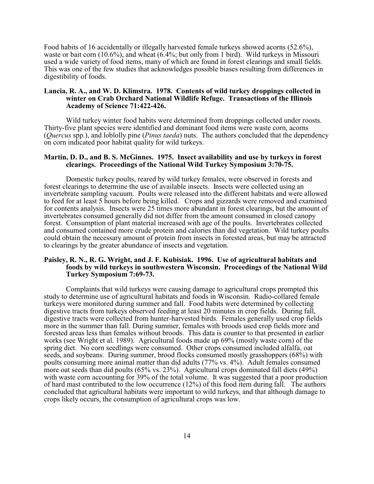Food habits of 16 accidentally or illegally harvested female turkeys showed acorns (52.6%), waste or bait corn (10.6%), and wheat (6.4%; but only from 1 bird). Wild turkeys in Missouri used a wide variety of food items, many of which are found in forest clearings and small fields. This was one of the few studies that acknowledges possible biases resulting from differences in digestibility of foods.

#### **Lancia, R. A., and W. D. Klimstra. 1978. Contents of wild turkey droppings collected in winter on Crab Orchard National Wildlife Refuge. Transactions of the Illinois Academy of Science 71:422-426.**

Wild turkey winter food habits were determined from droppings collected under roosts. Thirty-five plant species were identified and dominant food items were waste corn, acorns (*Quercus* spp.), and loblolly pine (*Pinus taeda*) nuts. The authors concluded that the dependency on corn indicated poor habitat quality for wild turkeys.

#### **Martin, D. D., and B. S. McGinnes. 1975. Insect availability and use by turkeys in forest clearings. Proceedings of the National Wild Turkey Symposium 3:70-75.**

Domestic turkey poults, reared by wild turkey females, were observed in forests and forest clearings to determine the use of available insects. Insects were collected using an invertebrate sampling vacuum. Poults were released into the different habitats and were allowed to feed for at least 5 hours before being killed. Crops and gizzards were removed and examined for contents analysis. Insects were 25 times more abundant in forest clearings, but the amount of invertebrates consumed generally did not differ from the amount consumed in closed canopy forest. Consumption of plant material increased with age of the poults. Invertebrates collected and consumed contained more crude protein and calories than did vegetation. Wild turkey poults could obtain the necessary amount of protein from insects in forested areas, but may be attracted to clearings by the greater abundance of insects and vegetation.

#### **Paisley, R. N., R. G. Wright, and J. F. Kubisiak. 1996. Use of agricultural habitats and foods by wild turkeys in southwestern Wisconsin. Proceedings of the National Wild Turkey Symposium 7:69-73.**

Complaints that wild turkeys were causing damage to agricultural crops prompted this study to determine use of agricultural habitats and foods in Wisconsin. Radio-collared female turkeys were monitored during summer and fall. Food habits were determined by collecting digestive tracts from turkeys observed feeding at least 20 minutes in crop fields. During fall, digestive tracts were collected from hunter-harvested birds. Females generally used crop fields more in the summer than fall. During summer, females with broods used crop fields more and forested areas less than females without broods. This data is counter to that presented in earlier works (see Wright et al. 1989). Agricultural foods made up 69% (mostly waste corn) of the spring diet. No corn seedlings were consumed. Other crops consumed included alfalfa, oat seeds, and soybeans. During summer, brood flocks consumed mostly grasshoppers (68%) with poults consuming more animal matter than did adults (77% vs. 4%). Adult females consumed more oat seeds than did poults (65% vs. 23%). Agricultural crops dominated fall diets (49%) with waste corn accounting for 39% of the total volume. It was suggested that a poor production of hard mast contributed to the low occurrence (12%) of this food item during fall. The authors concluded that agricultural habitats were important to wild turkeys, and that although damage to crops likely occurs, the consumption of agricultural crops was low.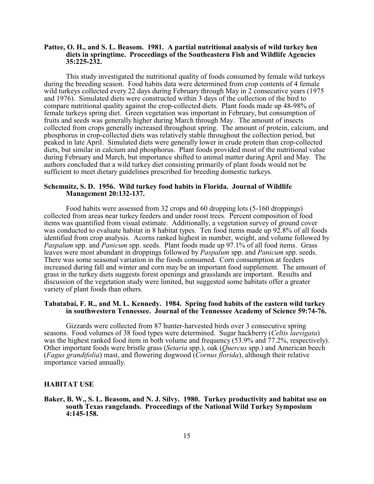#### **Pattee, O. H., and S. L. Beasom. 1981. A partial nutritional analysis of wild turkey hen diets in springtime. Proceedings of the Southeastern Fish and Wildlife Agencies 35:225-232.**

This study investigated the nutritional quality of foods consumed by female wild turkeys during the breeding season. Food habits data were determined from crop contents of 4 female wild turkeys collected every 22 days during February through May in 2 consecutive years (1975 and 1976). Simulated diets were constructed within 3 days of the collection of the bird to compare nutritional quality against the crop-collected diets. Plant foods made up 48-98% of female turkeys spring diet. Green vegetation was important in February, but consumption of fruits and seeds was generally higher during March through May. The amount of insects collected from crops generally increased throughout spring. The amount of protein, calcium, and phosphorus in crop-collected diets was relatively stable throughout the collection period, but peaked in late April. Simulated diets were generally lower in crude protein than crop-collected diets, but similar in calcium and phosphorus. Plant foods provided most of the nutritional value during February and March, but importance shifted to animal matter during April and May. The authors concluded that a wild turkey diet consisting primarily of plant foods would not be sufficient to meet dietary guidelines prescribed for breeding domestic turkeys.

#### **Schemnitz, S. D. 1956. Wild turkey food habits in Florida. Journal of Wildlife Management 20:132-137.**

Food habits were assessed from 32 crops and 60 dropping lots (5-160 droppings) collected from areas near turkey feeders and under roost trees. Percent composition of food items was quantified from visual estimate. Additionally, a vegetation survey of ground cover was conducted to evaluate habitat in 8 habitat types. Ten food items made up 92.8% of all foods identified from crop analysis. Acorns ranked highest in number, weight, and volume followed by *Paspalum* spp. and *Panicum* spp. seeds. Plant foods made up 97.1% of all food items. Grass leaves were most abundant in droppings followed by *Paspalum* spp. and *Panicum* spp. seeds. There was some seasonal variation in the foods consumed. Corn consumption at feeders increased during fall and winter and corn may be an important food supplement. The amount of grass in the turkey diets suggests forest openings and grasslands are important. Results and discussion of the vegetation study were limited, but suggested some habitats offer a greater variety of plant foods than others.

#### **Tabatabai, F. R., and M. L. Kennedy. 1984. Spring food habits of the eastern wild turkey in southwestern Tennessee. Journal of the Tennessee Academy of Science 59:74-76.**

Gizzards were collected from 87 hunter-harvested birds over 3 consecutive spring seasons. Food volumes of 38 food types were determined. Sugar hackberry (*Celtis laevigata*) was the highest ranked food item in both volume and frequency (53.9% and 77.2%, respectively). Other important foods were bristle grass (*Setaria* spp.), oak (*Quercus* spp.) and American beech (*Fagus grandifolia*) mast, and flowering dogwood (*Cornus florida*), although their relative importance varied annually.

#### **HABITAT USE**

**Baker, B. W., S. L. Beasom, and N. J. Silvy. 1980. Turkey productivity and habitat use on south Texas rangelands. Proceedings of the National Wild Turkey Symposium 4:145-158.**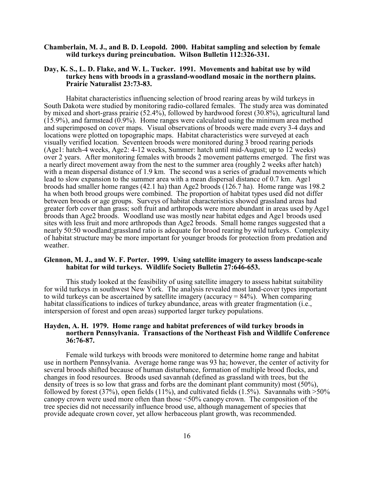#### **Chamberlain, M. J., and B. D. Leopold. 2000. Habitat sampling and selection by female wild turkeys during preincubation. Wilson Bulletin 112:326-331.**

#### **Day, K. S., L. D. Flake, and W. L. Tucker. 1991. Movements and habitat use by wild turkey hens with broods in a grassland-woodland mosaic in the northern plains. Prairie Naturalist 23:73-83.**

Habitat characteristics influencing selection of brood rearing areas by wild turkeys in South Dakota were studied by monitoring radio-collared females. The study area was dominated by mixed and short-grass prairie (52.4%), followed by hardwood forest (30.8%), agricultural land (15.9%), and farmstead (0.9%). Home ranges were calculated using the minimum area method and superimposed on cover maps. Visual observations of broods were made every 3-4 days and locations were plotted on topographic maps. Habitat characteristics were surveyed at each visually verified location. Seventeen broods were monitored during 3 brood rearing periods (Age1: hatch-4 weeks, Age2: 4-12 weeks, Summer: hatch until mid-August; up to 12 weeks) over 2 years. After monitoring females with broods 2 movement patterns emerged. The first was a nearly direct movement away from the nest to the summer area (roughly 2 weeks after hatch) with a mean dispersal distance of 1.9 km. The second was a series of gradual movements which lead to slow expansion to the summer area with a mean dispersal distance of 0.7 km. Age1 broods had smaller home ranges (42.1 ha) than Age2 broods (126.7 ha). Home range was 198.2 ha when both brood groups were combined. The proportion of habitat types used did not differ between broods or age groups. Surveys of habitat characteristics showed grassland areas had greater forb cover than grass; soft fruit and arthropods were more abundant in areas used by Age1 broods than Age2 broods. Woodland use was mostly near habitat edges and Age1 broods used sites with less fruit and more arthropods than Age2 broods. Small home ranges suggested that a nearly 50:50 woodland:grassland ratio is adequate for brood rearing by wild turkeys. Complexity of habitat structure may be more important for younger broods for protection from predation and weather.

#### **Glennon, M. J., and W. F. Porter. 1999. Using satellite imagery to assess landscape-scale habitat for wild turkeys. Wildlife Society Bulletin 27:646-653.**

This study looked at the feasibility of using satellite imagery to assess habitat suitability for wild turkeys in southwest New York. The analysis revealed most land-cover types important to wild turkeys can be ascertained by satellite imagery (accuracy  $= 84\%$ ). When comparing habitat classifications to indices of turkey abundance, areas with greater fragmentation (i.e., interspersion of forest and open areas) supported larger turkey populations.

#### **Hayden, A. H. 1979. Home range and habitat preferences of wild turkey broods in northern Pennsylvania. Transactions of the Northeast Fish and Wildlife Conference 36:76-87.**

Female wild turkeys with broods were monitored to determine home range and habitat use in northern Pennsylvania. Average home range was 93 ha; however, the center of activity for several broods shifted because of human disturbance, formation of multiple brood flocks, and changes in food resources. Broods used savannah (defined as grassland with trees, but the density of trees is so low that grass and forbs are the dominant plant community) most (50%), followed by forest (37%), open fields (11%), and cultivated fields (1.5%). Savannahs with  $>50\%$ canopy crown were used more often than those <50% canopy crown. The composition of the tree species did not necessarily influence brood use, although management of species that provide adequate crown cover, yet allow herbaceous plant growth, was recommended.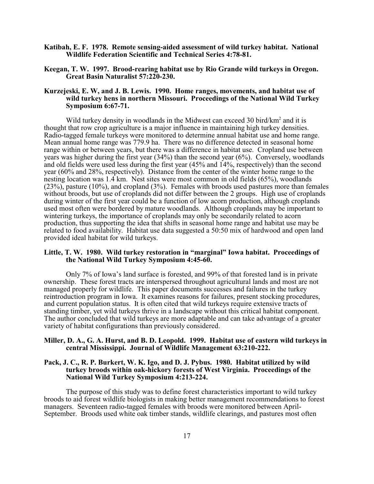- **Katibah, E. F. 1978. Remote sensing-aided assessment of wild turkey habitat. National Wildlife Federation Scientific and Technical Series 4:78-81.**
- **Keegan, T. W. 1997. Brood-rearing habitat use by Rio Grande wild turkeys in Oregon. Great Basin Naturalist 57:220-230.**

#### **Kurzejeski, E. W, and J. B. Lewis. 1990. Home ranges, movements, and habitat use of wild turkey hens in northern Missouri. Proceedings of the National Wild Turkey Symposium 6:67-71.**

Wild turkey density in woodlands in the Midwest can exceed 30 bird/km<sup>2</sup> and it is thought that row crop agriculture is a major influence in maintaining high turkey densities. Radio-tagged female turkeys were monitored to determine annual habitat use and home range. Mean annual home range was 779.9 ha. There was no difference detected in seasonal home range within or between years, but there was a difference in habitat use. Cropland use between years was higher during the first year (34%) than the second year (6%). Conversely, woodlands and old fields were used less during the first year (45% and 14%, respectively) than the second year (60% and 28%, respectively). Distance from the center of the winter home range to the nesting location was 1.4 km. Nest sites were most common in old fields (65%), woodlands (23%), pasture (10%), and cropland (3%). Females with broods used pastures more than females without broods, but use of croplands did not differ between the 2 groups. High use of croplands during winter of the first year could be a function of low acorn production, although croplands used most often were bordered by mature woodlands. Although croplands may be important to wintering turkeys, the importance of croplands may only be secondarily related to acorn production, thus supporting the idea that shifts in seasonal home range and habitat use may be related to food availability. Habitat use data suggested a 50:50 mix of hardwood and open land provided ideal habitat for wild turkeys.

#### **Little, T. W. 1980. Wild turkey restoration in "marginal" Iowa habitat. Proceedings of the National Wild Turkey Symposium 4:45-60.**

Only 7% of Iowa's land surface is forested, and 99% of that forested land is in private ownership. These forest tracts are interspersed throughout agricultural lands and most are not managed properly for wildlife. This paper documents successes and failures in the turkey reintroduction program in Iowa. It examines reasons for failures, present stocking procedures, and current population status. It is often cited that wild turkeys require extensive tracts of standing timber, yet wild turkeys thrive in a landscape without this critical habitat component. The author concluded that wild turkeys are more adaptable and can take advantage of a greater variety of habitat configurations than previously considered.

#### **Miller, D. A., G. A. Hurst, and B. D. Leopold. 1999. Habitat use of eastern wild turkeys in central Mississippi. Journal of Wildlife Management 63:210-222.**

#### **Pack, J. C., R. P. Burkert, W. K. Igo, and D. J. Pybus. 1980. Habitat utilized by wild turkey broods within oak-hickory forests of West Virginia. Proceedings of the National Wild Turkey Symposium 4:213-224.**

The purpose of this study was to define forest characteristics important to wild turkey broods to aid forest wildlife biologists in making better management recommendations to forest managers. Seventeen radio-tagged females with broods were monitored between April-September. Broods used white oak timber stands, wildlife clearings, and pastures most often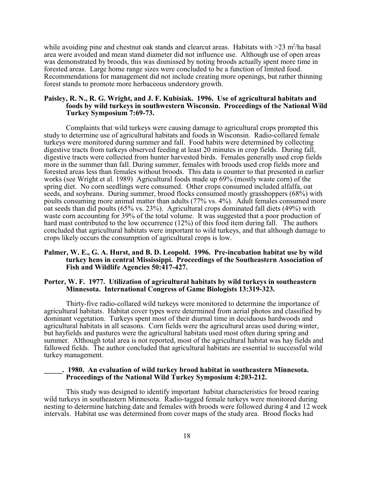while avoiding pine and chestnut oak stands and clearcut areas. Habitats with  $>$ 23 m<sup>2</sup>/ha basal area were avoided and mean stand diameter did not influence use. Although use of open areas was demonstrated by broods, this was dismissed by noting broods actually spent more time in forested areas. Large home range sizes were concluded to be a function of limited food. Recommendations for management did not include creating more openings, but rather thinning forest stands to promote more herbaceous understory growth.

#### **Paisley, R. N., R. G. Wright, and J. F. Kubisiak. 1996. Use of agricultural habitats and foods by wild turkeys in southwestern Wisconsin. Proceedings of the National Wild Turkey Symposium 7:69-73.**

Complaints that wild turkeys were causing damage to agricultural crops prompted this study to determine use of agricultural habitats and foods in Wisconsin. Radio-collared female turkeys were monitored during summer and fall. Food habits were determined by collecting digestive tracts from turkeys observed feeding at least 20 minutes in crop fields. During fall, digestive tracts were collected from hunter harvested birds. Females generally used crop fields more in the summer than fall. During summer, females with broods used crop fields more and forested areas less than females without broods. This data is counter to that presented in earlier works (see Wright et al. 1989) Agricultural foods made up 69% (mostly waste corn) of the spring diet. No corn seedlings were consumed. Other crops consumed included alfalfa, oat seeds, and soybeans. During summer, brood flocks consumed mostly grasshoppers (68%) with poults consuming more animal matter than adults (77% vs. 4%). Adult females consumed more oat seeds than did poults (65% vs. 23%). Agricultural crops dominated fall diets (49%) with waste corn accounting for 39% of the total volume. It was suggested that a poor production of hard mast contributed to the low occurrence (12%) of this food item during fall. The authors concluded that agricultural habitats were important to wild turkeys, and that although damage to crops likely occurs the consumption of agricultural crops is low.

#### **Palmer, W. E., G. A. Hurst, and B. D. Leopold. 1996. Pre-incubation habitat use by wild turkey hens in central Mississippi. Proceedings of the Southeastern Association of Fish and Wildlife Agencies 50:417-427.**

#### **Porter, W. F. 1977. Utilization of agricultural habitats by wild turkeys in southeastern Minnesota. International Congress of Game Biologists 13:319-323.**

Thirty-five radio-collared wild turkeys were monitored to determine the importance of agricultural habitats. Habitat cover types were determined from aerial photos and classified by dominant vegetation. Turkeys spent most of their diurnal time in deciduous hardwoods and agricultural habitats in all seasons. Corn fields were the agricultural areas used during winter, but hayfields and pastures were the agricultural habitats used most often during spring and summer. Although total area is not reported, most of the agricultural habitat was hay fields and fallowed fields. The author concluded that agricultural habitats are essential to successful wild turkey management.

#### **\_\_\_\_\_. 1980. An evaluation of wild turkey brood habitat in southeastern Minnesota. Proceedings of the National Wild Turkey Symposium 4:203-212.**

This study was designed to identify important habitat characteristics for brood rearing wild turkeys in southeastern Minnesota. Radio-tagged female turkeys were monitored during nesting to determine hatching date and females with broods were followed during 4 and 12 week intervals. Habitat use was determined from cover maps of the study area. Brood flocks had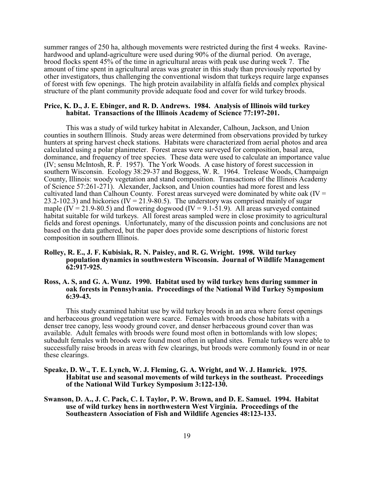summer ranges of 250 ha, although movements were restricted during the first 4 weeks. Ravinehardwood and upland-agriculture were used during 90% of the diurnal period. On average, brood flocks spent 45% of the time in agricultural areas with peak use during week 7. The amount of time spent in agricultural areas was greater in this study than previously reported by other investigators, thus challenging the conventional wisdom that turkeys require large expanses of forest with few openings. The high protein availability in alfalfa fields and complex physical structure of the plant community provide adequate food and cover for wild turkey broods.

#### **Price, K. D., J. E. Ebinger, and R. D. Andrews. 1984. Analysis of Illinois wild turkey habitat. Transactions of the Illinois Academy of Science 77:197-201.**

This was a study of wild turkey habitat in Alexander, Calhoun, Jackson, and Union counties in southern Illinois. Study areas were determined from observations provided by turkey hunters at spring harvest check stations. Habitats were characterized from aerial photos and area calculated using a polar planimeter. Forest areas were surveyed for composition, basal area, dominance, and frequency of tree species. These data were used to calculate an importance value (IV; sensu McIntosh, R. P. 1957). The York Woods. A case history of forest succession in southern Wisconsin. Ecology 38:29-37 and Boggess, W. R. 1964. Trelease Woods, Champaign County, Illinois: woody vegetation and stand composition. Transactions of the Illinois Academy of Science 57:261-271). Alexander, Jackson, and Union counties had more forest and less cultivated land than Calhoun County. Forest areas surveyed were dominated by white oak (IV = 23.2-102.3) and hickories (IV = 21.9-80.5). The understory was comprised mainly of sugar maple (IV = 21.9-80.5) and flowering dogwood (IV = 9.1-51.9). All areas surveyed contained habitat suitable for wild turkeys. All forest areas sampled were in close proximity to agricultural fields and forest openings. Unfortunately, many of the discussion points and conclusions are not based on the data gathered, but the paper does provide some descriptions of historic forest composition in southern Illinois.

#### **Rolley, R. E., J. F. Kubisiak, R. N. Paisley, and R. G. Wright. 1998. Wild turkey population dynamics in southwestern Wisconsin. Journal of Wildlife Management 62:917-925.**

#### **Ross, A. S, and G. A. Wunz. 1990. Habitat used by wild turkey hens during summer in oak forests in Pennsylvania. Proceedings of the National Wild Turkey Symposium 6:39-43.**

This study examined habitat use by wild turkey broods in an area where forest openings and herbaceous ground vegetation were scarce. Females with broods chose habitats with a denser tree canopy, less woody ground cover, and denser herbaceous ground cover than was available. Adult females with broods were found most often in bottomlands with low slopes; subadult females with broods were found most often in upland sites. Female turkeys were able to successfully raise broods in areas with few clearings, but broods were commonly found in or near these clearings.

- **Speake, D. W., T. E. Lynch, W. J. Fleming, G. A. Wright, and W. J. Hamrick. 1975. Habitat use and seasonal movements of wild turkeys in the southeast. Proceedings of the National Wild Turkey Symposium 3:122-130.**
- **Swanson, D. A., J. C. Pack, C. I. Taylor, P. W. Brown, and D. E. Samuel. 1994. Habitat use of wild turkey hens in northwestern West Virginia. Proceedings of the Southeastern Association of Fish and Wildlife Agencies 48:123-133.**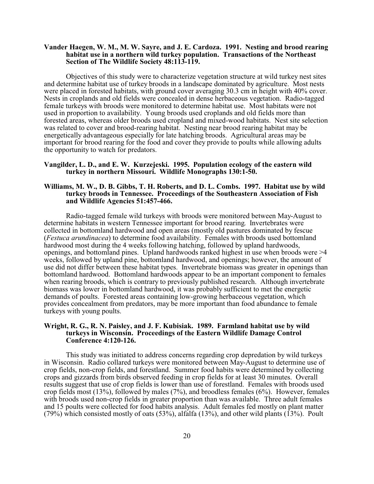#### **Vander Haegen, W. M., M. W. Sayre, and J. E. Cardoza. 1991. Nesting and brood rearing habitat use in a northern wild turkey population. Transactions of the Northeast Section of The Wildlife Society 48:113-119.**

Objectives of this study were to characterize vegetation structure at wild turkey nest sites and determine habitat use of turkey broods in a landscape dominated by agriculture. Most nests were placed in forested habitats, with ground cover averaging 30.3 cm in height with 40% cover. Nests in croplands and old fields were concealed in dense herbaceous vegetation. Radio-tagged female turkeys with broods were monitored to determine habitat use. Most habitats were not used in proportion to availability. Young broods used croplands and old fields more than forested areas, whereas older broods used cropland and mixed-wood habitats. Nest site selection was related to cover and brood-rearing habitat. Nesting near brood rearing habitat may be energetically advantageous especially for late hatching broods. Agricultural areas may be important for brood rearing for the food and cover they provide to poults while allowing adults the opportunity to watch for predators.

#### **Vangilder, L. D., and E. W. Kurzejeski. 1995. Population ecology of the eastern wild turkey in northern Missouri. Wildlife Monographs 130:1-50.**

#### **Williams, M. W., D. B. Gibbs, T. H. Roberts, and D. L. Combs. 1997. Habitat use by wild turkey broods in Tennessee. Proceedings of the Southeastern Association of Fish and Wildlife Agencies 51:457-466.**

Radio-tagged female wild turkeys with broods were monitored between May-August to determine habitats in western Tennessee important for brood rearing. Invertebrates were collected in bottomland hardwood and open areas (mostly old pastures dominated by fescue (*Festuca arundinacea*) to determine food availability. Females with broods used bottomland hardwood most during the 4 weeks following hatching, followed by upland hardwoods, openings, and bottomland pines. Upland hardwoods ranked highest in use when broods were >4 weeks, followed by upland pine, bottomland hardwood, and openings; however, the amount of use did not differ between these habitat types. Invertebrate biomass was greater in openings than bottomland hardwood. Bottomland hardwoods appear to be an important component to females when rearing broods, which is contrary to previously published research. Although invertebrate biomass was lower in bottomland hardwood, it was probably sufficient to met the energetic demands of poults. Forested areas containing low-growing herbaceous vegetation, which provides concealment from predators, may be more important than food abundance to female turkeys with young poults.

#### **Wright, R. G., R. N. Paisley, and J. F. Kubisiak. 1989. Farmland habitat use by wild turkeys in Wisconsin. Proceedings of the Eastern Wildlife Damage Control Conference 4:120-126.**

This study was initiated to address concerns regarding crop depredation by wild turkeys in Wisconsin. Radio collared turkeys were monitored between May-August to determine use of crop fields, non-crop fields, and forestland. Summer food habits were determined by collecting crops and gizzards from birds observed feeding in crop fields for at least 30 minutes. Overall results suggest that use of crop fields is lower than use of forestland. Females with broods used crop fields most  $(13%)$ , followed by males  $(7%)$ , and broodless females  $(6%)$ . However, females with broods used non-crop fields in greater proportion than was available. Three adult females and 15 poults were collected for food habits analysis. Adult females fed mostly on plant matter (79%) which consisted mostly of oats (53%), alfalfa (13%), and other wild plants (13%). Poult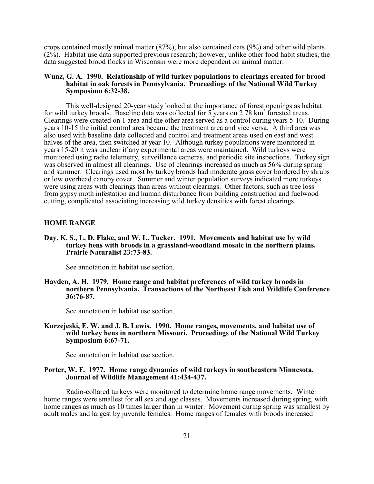crops contained mostly animal matter (87%), but also contained oats (9%) and other wild plants (2%). Habitat use data supported previous research; however, unlike other food habit studies, the data suggested brood flocks in Wisconsin were more dependent on animal matter.

#### **Wunz, G. A. 1990. Relationship of wild turkey populations to clearings created for brood habitat in oak forests in Pennsylvania. Proceedings of the National Wild Turkey Symposium 6:32-38.**

This well-designed 20-year study looked at the importance of forest openings as habitat for wild turkey broods. Baseline data was collected for 5 years on 2 78 km<sup>2</sup> forested areas. Clearings were created on 1 area and the other area served as a control during years 5-10. During years 10-15 the initial control area became the treatment area and vice versa. A third area was also used with baseline data collected and control and treatment areas used on east and west halves of the area, then switched at year 10. Although turkey populations were monitored in years 15-20 it was unclear if any experimental areas were maintained. Wild turkeys were monitored using radio telemetry, surveillance cameras, and periodic site inspections. Turkey sign was observed in almost all clearings. Use of clearings increased as much as 56% during spring and summer. Clearings used most by turkey broods had moderate grass cover bordered by shrubs or low overhead canopy cover. Summer and winter population surveys indicated more turkeys were using areas with clearings than areas without clearings. Other factors, such as tree loss from gypsy moth infestation and human disturbance from building construction and fuelwood cutting, complicated associating increasing wild turkey densities with forest clearings.

#### **HOME RANGE**

**Day, K. S., L. D. Flake, and W. L. Tucker. 1991. Movements and habitat use by wild turkey hens with broods in a grassland-woodland mosaic in the northern plains. Prairie Naturalist 23:73-83.**

See annotation in habitat use section.

**Hayden, A. H. 1979. Home range and habitat preferences of wild turkey broods in northern Pennsylvania. Transactions of the Northeast Fish and Wildlife Conference 36:76-87.**

See annotation in habitat use section.

#### **Kurzejeski, E. W, and J. B. Lewis. 1990. Home ranges, movements, and habitat use of wild turkey hens in northern Missouri. Proceedings of the National Wild Turkey Symposium 6:67-71.**

See annotation in habitat use section.

#### **Porter, W. F. 1977. Home range dynamics of wild turkeys in southeastern Minnesota. Journal of Wildlife Management 41:434-437.**

Radio-collared turkeys were monitored to determine home range movements. Winter home ranges were smallest for all sex and age classes. Movements increased during spring, with home ranges as much as 10 times larger than in winter. Movement during spring was smallest by adult males and largest by juvenile females. Home ranges of females with broods increased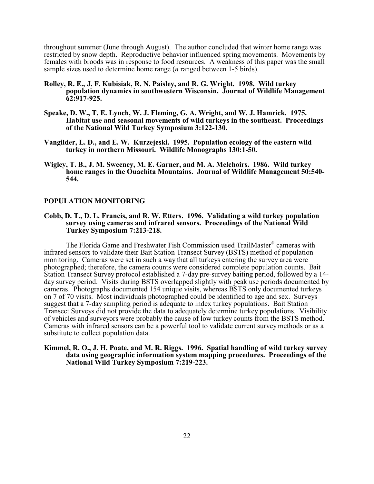throughout summer (June through August). The author concluded that winter home range was restricted by snow depth. Reproductive behavior influenced spring movements. Movements by females with broods was in response to food resources. A weakness of this paper was the small sample sizes used to determine home range (*n* ranged between 1-5 birds).

- **Rolley, R. E., J. F. Kubisiak, R. N. Paisley, and R. G. Wright. 1998. Wild turkey population dynamics in southwestern Wisconsin. Journal of Wildlife Management 62:917-925.**
- **Speake, D. W., T. E. Lynch, W. J. Fleming, G. A. Wright, and W. J. Hamrick. 1975. Habitat use and seasonal movements of wild turkeys in the southeast. Proceedings of the National Wild Turkey Symposium 3:122-130.**
- **Vangilder, L. D., and E. W. Kurzejeski. 1995. Population ecology of the eastern wild turkey in northern Missouri. Wildlife Monographs 130:1-50.**
- **Wigley, T. B., J. M. Sweeney, M. E. Garner, and M. A. Melchoirs. 1986. Wild turkey home ranges in the Ouachita Mountains. Journal of Wildlife Management 50:540- 544.**

#### **POPULATION MONITORING**

#### **Cobb, D. T., D. L. Francis, and R. W. Etters. 1996. Validating a wild turkey population survey using cameras and infrared sensors. Proceedings of the National Wild Turkey Symposium 7:213-218.**

The Florida Game and Freshwater Fish Commission used TrailMaster® cameras with infrared sensors to validate their Bait Station Transect Survey (BSTS) method of population monitoring. Cameras were set in such a way that all turkeys entering the survey area were photographed; therefore, the camera counts were considered complete population counts. Bait Station Transect Survey protocol established a 7-day pre-survey baiting period, followed by a 14 day survey period. Visits during BSTS overlapped slightly with peak use periods documented by cameras. Photographs documented 154 unique visits, whereas BSTS only documented turkeys on 7 of 70 visits. Most individuals photographed could be identified to age and sex. Surveys suggest that a 7-day sampling period is adequate to index turkey populations. Bait Station Transect Surveys did not provide the data to adequately determine turkey populations. Visibility of vehicles and surveyors were probably the cause of low turkey counts from the BSTS method. Cameras with infrared sensors can be a powerful tool to validate current survey methods or as a substitute to collect population data.

#### **Kimmel, R. O., J. H. Poate, and M. R. Riggs. 1996. Spatial handling of wild turkey survey data using geographic information system mapping procedures. Proceedings of the National Wild Turkey Symposium 7:219-223.**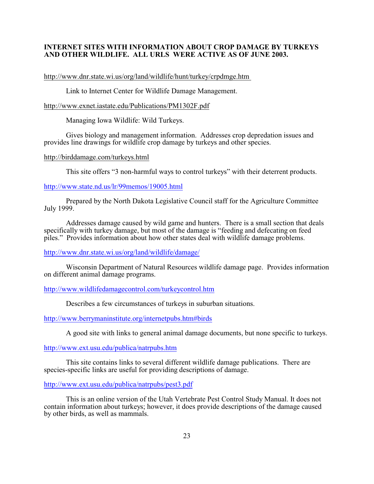#### **INTERNET SITES WITH INFORMATION ABOUT CROP DAMAGE BY TURKEYS AND OTHER WILDLIFE. ALL URLS WERE ACTIVE AS OF JUNE 2003.**

http://www.dnr.state.wi.us/org/land/wildlife/hunt/turkey/crpdmge.htm

Link to Internet Center for Wildlife Damage Management.

http://www.exnet.iastate.edu/Publications/PM1302F.pdf

Managing Iowa Wildlife: Wild Turkeys.

Gives biology and management information. Addresses crop depredation issues and provides line drawings for wildlife crop damage by turkeys and other species.

#### http://birddamage.com/turkeys.html

This site offers "3 non-harmful ways to control turkeys" with their deterrent products.

#### <http://www.state.nd.us/lr/99memos/19005.html>

Prepared by the North Dakota Legislative Council staff for the Agriculture Committee July 1999.

Addresses damage caused by wild game and hunters. There is a small section that deals specifically with turkey damage, but most of the damage is "feeding and defecating on feed piles." Provides information about how other states deal with wildlife damage problems.

#### <http://www.dnr.state.wi.us/org/land/wildlife/damage/>

Wisconsin Department of Natural Resources wildlife damage page. Provides information on different animal damage programs.

#### <http://www.wildlifedamagecontrol.com/turkeycontrol.htm>

Describes a few circumstances of turkeys in suburban situations.

<http://www.berrymaninstitute.org/internetpubs.htm#birds>

A good site with links to general animal damage documents, but none specific to turkeys.

#### <http://www.ext.usu.edu/publica/natrpubs.htm>

This site contains links to several different wildlife damage publications. There are species-specific links are useful for providing descriptions of damage.

#### <http://www.ext.usu.edu/publica/natrpubs/pest3.pdf>

This is an online version of the Utah Vertebrate Pest Control Study Manual. It does not contain information about turkeys; however, it does provide descriptions of the damage caused by other birds, as well as mammals.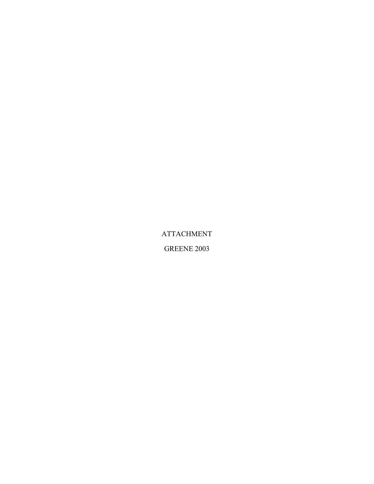ATTACHMENT

GREENE 2003